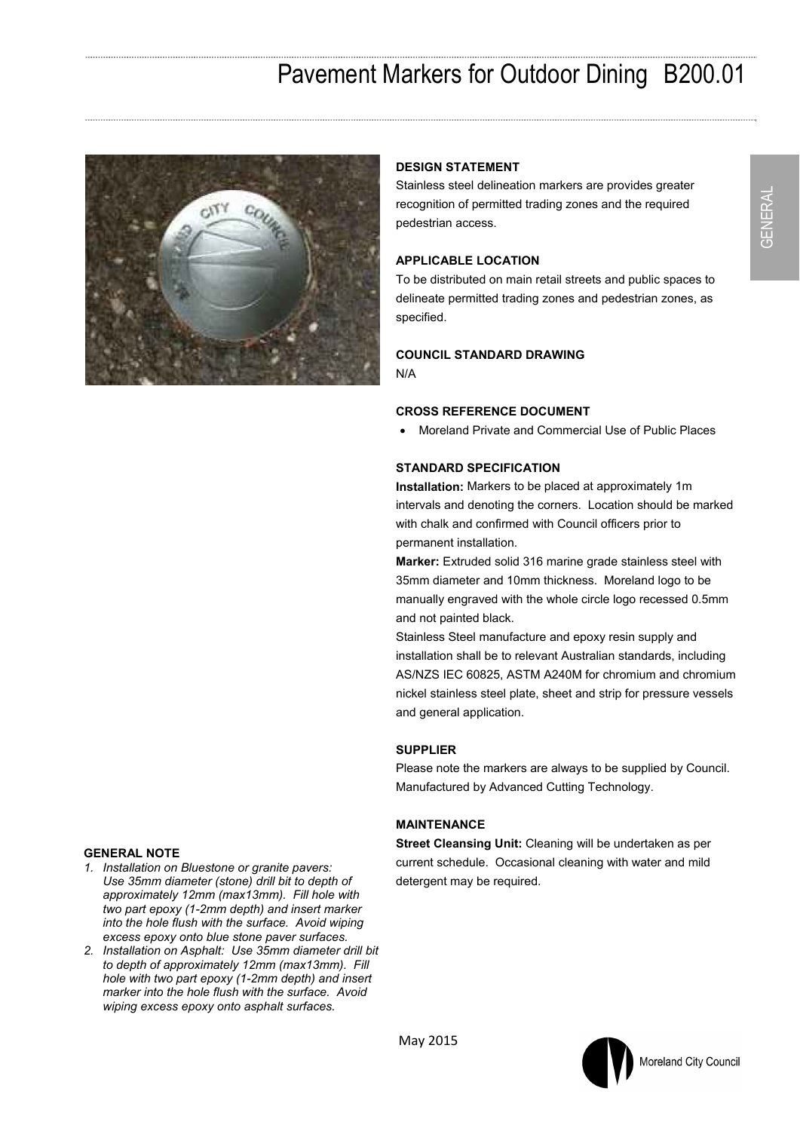# Pavement Markers for Outdoor Dining B200.01



# **DESIGN STATEMENT**

Stainless steel delineation markers are provides greater recognition of permitted trading zones and the required pedestrian access.

# **APPLICABLE LOCATION**

To be distributed on main retail streets and public spaces to delineate permitted trading zones and pedestrian zones, as specified.

#### **COUNCIL STANDARD DRAWING**  N/A

#### **CROSS REFERENCE DOCUMENT**

Moreland Private and Commercial Use of Public Places

## **STANDARD SPECIFICATION**

**Installation:** Markers to be placed at approximately 1m intervals and denoting the corners. Location should be marked with chalk and confirmed with Council officers prior to permanent installation.

**Marker:** Extruded solid 316 marine grade stainless steel with 35mm diameter and 10mm thickness. Moreland logo to be manually engraved with the whole circle logo recessed 0.5mm and not painted black.

Stainless Steel manufacture and epoxy resin supply and installation shall be to relevant Australian standards, including AS/NZS IEC 60825, ASTM A240M for chromium and chromium nickel stainless steel plate, sheet and strip for pressure vessels and general application.

#### **SUPPLIER**

Please note the markers are always to be supplied by Council. Manufactured by Advanced Cutting Technology.

## **MAINTENANCE**

**Street Cleansing Unit:** Cleaning will be undertaken as per current schedule. Occasional cleaning with water and mild detergent may be required.

GENERAL

GENERAL

#### **GENERAL NOTE**

- *1. Installation on Bluestone or granite pavers: Use 35mm diameter (stone) drill bit to depth of approximately 12mm (max13mm). Fill hole with two part epoxy (1-2mm depth) and insert marker into the hole flush with the surface. Avoid wiping excess epoxy onto blue stone paver surfaces.*
- *2. Installation on Asphalt: Use 35mm diameter drill bit to depth of approximately 12mm (max13mm). Fill hole with two part epoxy (1-2mm depth) and insert marker into the hole flush with the surface. Avoid wiping excess epoxy onto asphalt surfaces.*